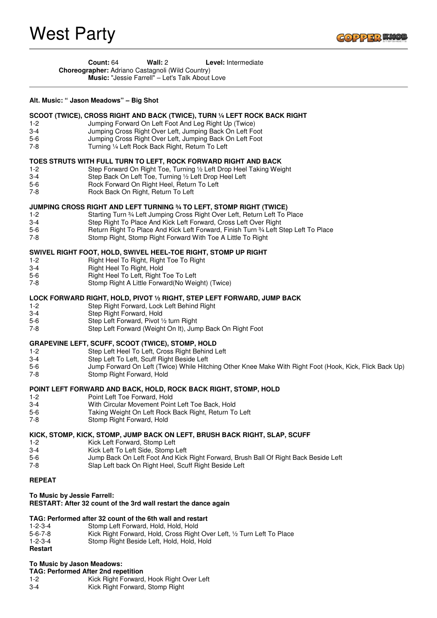

 **Count:** 64 **Wall:** 2 **Level:** Intermediate **Choreographer:** Adriano Castagnoli (Wild Country)

**Music:** "Jessie Farrell" – Let's Talk About Love

## **Alt. Music: " Jason Meadows" – Big Shot**

## **SCOOT (TWICE), CROSS RIGHT AND BACK (TWICE), TURN ¼ LEFT ROCK BACK RIGHT**

- 1-2 Jumping Forward On Left Foot And Leg Right Up (Twice)
- 3-4 Jumping Cross Right Over Left, Jumping Back On Left Foot
- 5-6 Jumping Cross Right Over Left, Jumping Back On Left Foot
- 7-8 Turning ¼ Left Rock Back Right, Return To Left

## **TOES STRUTS WITH FULL TURN TO LEFT, ROCK FORWARD RIGHT AND BACK**

- 1-2 Step Forward On Right Toe, Turning ½ Left Drop Heel Taking Weight
- 3-4 Step Back On Left Toe, Turning 1/2 Left Drop Heel Left<br>5-6 Rock Forward On Right Heel. Return To Left
- 5-6 Rock Forward On Right Heel, Return To Left<br>7-8 Rock Back On Right, Return To Left
- Rock Back On Right, Return To Left

## **JUMPING CROSS RIGHT AND LEFT TURNING ¾ TO LEFT, STOMP RIGHT (TWICE)**

- 1-2 Starting Turn ¾ Left Jumping Cross Right Over Left, Return Left To Place<br>3-4 Step Right To Place And Kick Left Forward, Cross Left Over Right
- Step Right To Place And Kick Left Forward, Cross Left Over Right
- 5-6 **Return Right To Place And Kick Left Forward**, Finish Turn ¾ Left Step Left To Place 7-8<br>7-8 Stomp Right, Stomp Right Forward With Toe A Little To Right
	- Stomp Right, Stomp Right Forward With Toe A Little To Right

## **SWIVEL RIGHT FOOT, HOLD, SWIVEL HEEL-TOE RIGHT, STOMP UP RIGHT**

- 1-2 Right Heel To Right, Right Toe To Right
- 3-4 Right Heel To Right, Hold
- 5-6 Right Heel To Left, Right Toe To Left
- 7-8 Stomp Right A Little Forward(No Weight) (Twice)

## **LOCK FORWARD RIGHT, HOLD, PIVOT ½ RIGHT, STEP LEFT FORWARD, JUMP BACK**

- 1-2 Step Right Forward, Lock Left Behind Right
- 3-4 Step Right Forward, Hold
- 5-6 Step Left Forward, Pivot ½ turn Right
- 7-8 Step Left Forward (Weight On It), Jump Back On Right Foot

## **GRAPEVINE LEFT, SCUFF, SCOOT (TWICE), STOMP, HOLD**

- 1-2 Step Left Heel To Left, Cross Right Behind Left
- 3-4 Step Left To Left, Scuff Right Beside Left
- 5-6 Jump Forward On Left (Twice) While Hitching Other Knee Make With Right Foot (Hook, Kick, Flick Back Up)
- 7-8 Stomp Right Forward, Hold

## **POINT LEFT FORWARD AND BACK, HOLD, ROCK BACK RIGHT, STOMP, HOLD**

- 1-2 Point Left Toe Forward, Hold
- 3-4 With Circular Movement Point Left Toe Back, Hold
- Taking Weight On Left Rock Back Right, Return To Left
- 7-8 Stomp Right Forward, Hold

# **KICK, STOMP, KICK, STOMP, JUMP BACK ON LEFT, BRUSH BACK RIGHT, SLAP, SCUFF**

- 1-2 Kick Left Forward, Stomp Left
- 3-4 Kick Left To Left Side, Stomp Left
- Jump Back On Left Foot And Kick Right Forward, Brush Ball Of Right Back Beside Left
- 7-8 Slap Left back On Right Heel, Scuff Right Beside Left

## **REPEAT**

## **To Music by Jessie Farrell:**

# **RESTART: After 32 count of the 3rd wall restart the dance again**

# **TAG: Performed after 32 count of the 6th wall and restart**

- 1-2-3-4 Stomp Left Forward, Hold, Hold, Hold
- 5-6-7-8 Kick Right Forward, Hold, Cross Right Over Left, ½ Turn Left To Place
- 1-2-3-4 Stomp Right Beside Left, Hold, Hold, Hold

## **Restart**

# **To Music by Jason Meadows:**

- **TAG: Performed After 2nd repetition** 1-2 Kick Right Forward, Hook Right Over Left
- 3-4 Kick Right Forward, Stomp Right